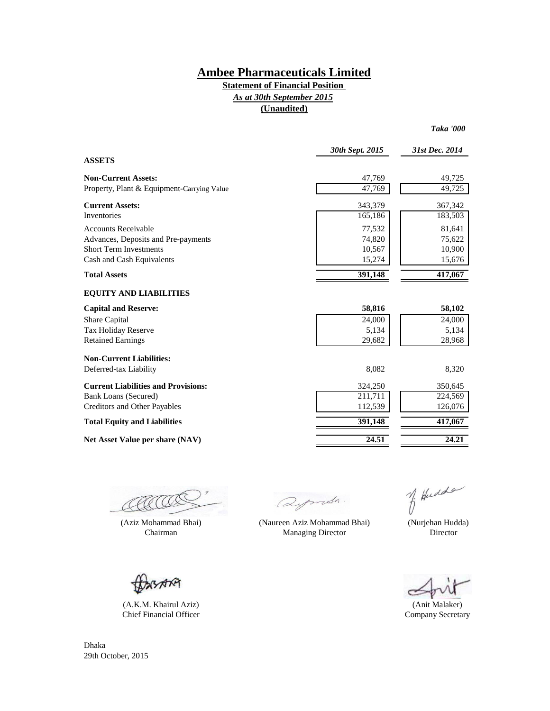#### **Statement of Financial Position (Unaudited)** *As at 30th September 2015*

|                                            | 30th Sept. 2015 | 31st Dec. 2014 |
|--------------------------------------------|-----------------|----------------|
| <b>ASSETS</b>                              |                 |                |
| <b>Non-Current Assets:</b>                 | 47,769          | 49,725         |
| Property, Plant & Equipment-Carrying Value | 47,769          | 49,725         |
| <b>Current Assets:</b>                     | 343,379         | 367,342        |
| Inventories                                | 165,186         | 183,503        |
| <b>Accounts Receivable</b>                 | 77,532          | 81,641         |
| Advances, Deposits and Pre-payments        | 74,820          | 75,622         |
| <b>Short Term Investments</b>              | 10,567          | 10,900         |
| Cash and Cash Equivalents                  | 15,274          | 15,676         |
| <b>Total Assets</b>                        | 391,148         | 417,067        |
| <b>EQUITY AND LIABILITIES</b>              |                 |                |
| <b>Capital and Reserve:</b>                | 58,816          | 58,102         |
| Share Capital                              | 24,000          | 24,000         |
| Tax Holiday Reserve                        | 5,134           | 5,134          |
| <b>Retained Earnings</b>                   | 29,682          | 28,968         |
| <b>Non-Current Liabilities:</b>            |                 |                |
| Deferred-tax Liability                     | 8,082           | 8,320          |
| <b>Current Liabilities and Provisions:</b> | 324,250         | 350,645        |
| <b>Bank Loans (Secured)</b>                | 211,711         | 224,569        |
| <b>Creditors and Other Payables</b>        | 112,539         | 126,076        |
| <b>Total Equity and Liabilities</b>        | 391,148         | 417,067        |
| Net Asset Value per share (NAV)            | 24.51           | 24.21          |

U

(Aziz Mohammad Bhai) Chairman

(A.K.M. Khairul Aziz) Chief Financial Officer

AN

Qymsh.

(Naureen Aziz Mohammad Bhai) Managing Director

of Hudde

*Taka '000*

 (Nurjehan Hudda) Director

(Anit Malaker) Company Secretary

Dhaka 29th October, 2015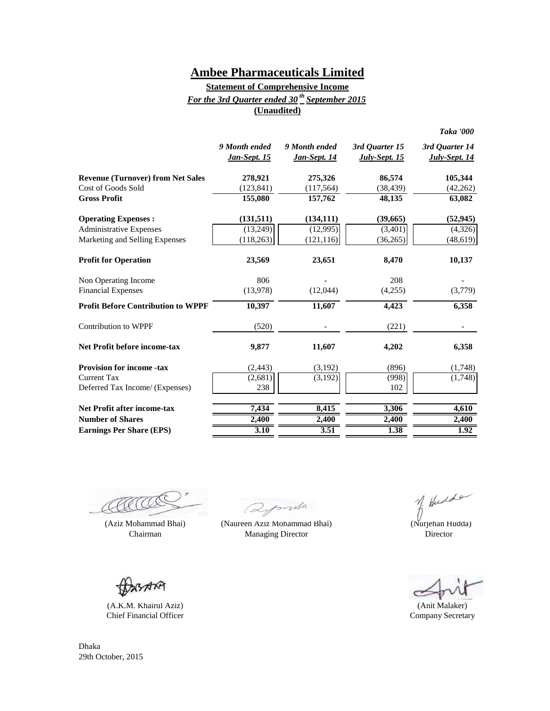### **(Unaudited) Statement of Comprehensive Income** *For the 3rd Quarter ended 30 th September 2015*

|                                           | 9 Month ended<br>Jan-Sept. 15 | 9 Month ended<br><u>Jan-Sept. 14</u> | 3rd Quarter 15<br><b>July-Sept. 15</b> | 3rd Quarter 14<br><b>July-Sept. 14</b> |
|-------------------------------------------|-------------------------------|--------------------------------------|----------------------------------------|----------------------------------------|
| <b>Revenue (Turnover) from Net Sales</b>  | 278,921                       | 275,326                              | 86,574                                 | 105,344                                |
| Cost of Goods Sold                        | (123, 841)                    | (117, 564)                           | (38, 439)                              | (42, 262)                              |
| <b>Gross Profit</b>                       | 155,080                       | 157,762                              | 48,135                                 | 63,082                                 |
| <b>Operating Expenses:</b>                | (131, 511)                    | (134, 111)                           | (39, 665)                              | (52, 945)                              |
| <b>Administrative Expenses</b>            | (13,249)                      | (12,995)                             | (3,401)                                | (4,326)                                |
| Marketing and Selling Expenses            | (118, 263)                    | (121, 116)                           | (36, 265)                              | (48, 619)                              |
| <b>Profit for Operation</b>               | 23,569                        | 23,651                               | 8,470                                  | 10,137                                 |
| Non Operating Income                      | 806                           |                                      | 208                                    |                                        |
| <b>Financial Expenses</b>                 | (13,978)                      | (12,044)                             | (4,255)                                | (3,779)                                |
| <b>Profit Before Contribution to WPPF</b> | 10,397                        | 11,607                               | 4,423                                  | 6,358                                  |
| <b>Contribution to WPPF</b>               | (520)                         |                                      | (221)                                  |                                        |
| <b>Net Profit before income-tax</b>       | 9.877                         | 11,607                               | 4,202                                  | 6,358                                  |
| <b>Provision for income -tax</b>          | (2, 443)                      | (3,192)                              | (896)                                  | (1,748)                                |
| <b>Current Tax</b>                        | (2,681)                       | (3,192)                              | (998)                                  | (1,748)                                |
| Deferred Tax Income/ (Expenses)           | 238                           |                                      | 102                                    |                                        |
| <b>Net Profit after income-tax</b>        | 7,434                         | 8,415                                | 3,306                                  | 4,610                                  |
| <b>Number of Shares</b>                   | 2,400                         | 2,400                                | 2,400                                  | 2,400                                  |
| <b>Earnings Per Share (EPS)</b>           | 3.10                          | 3.51                                 | 1.38                                   | 1.92                                   |

RACCO

Chairman **Director** Managing Director **Director Director** 

(A.K.M. Khairul Aziz) Chief Financial Officer

Qymsh.

(Aziz Mohammad Bhai) (Nurjehan Hudda) (Naureen Aziz Mohammad Bhai)

*Taka '000*

(Anit Malaker) Company Secretary

Dhaka 29th October, 2015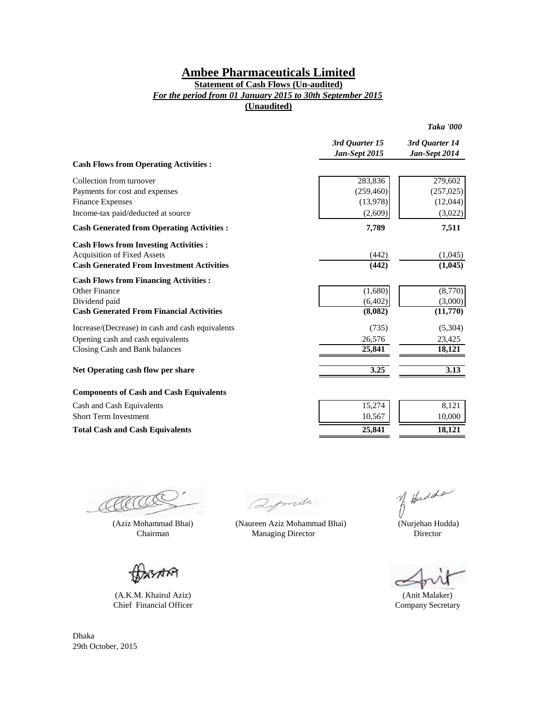### **Statement of Cash Flows (Un-audited)**

*For the period from 01 January 2015 to 30th September 2015*

**(Unaudited)**

|                                                   |                                 | Taka '000                       |
|---------------------------------------------------|---------------------------------|---------------------------------|
|                                                   | 3rd Ouarter 15<br>Jan-Sept 2015 | 3rd Ouarter 14<br>Jan-Sept 2014 |
| <b>Cash Flows from Operating Activities:</b>      |                                 |                                 |
| Collection from turnover                          | 283,836                         | 279,602                         |
| Payments for cost and expenses                    | (259, 460)                      | (257, 025)                      |
| <b>Finance Expenses</b>                           | (13,978)                        | (12,044)                        |
| Income-tax paid/deducted at source                | (2,609)                         | (3,022)                         |
| <b>Cash Generated from Operating Activities :</b> | 7,789                           | 7,511                           |
| <b>Cash Flows from Investing Activities:</b>      |                                 |                                 |
| <b>Acquisition of Fixed Assets</b>                | (442)                           | (1,045)                         |
| <b>Cash Generated From Investment Activities</b>  | (442)                           | (1,045)                         |
| <b>Cash Flows from Financing Activities:</b>      |                                 |                                 |
| Other Finance                                     | (1,680)                         | (8,770)                         |
| Dividend paid                                     | (6,402)                         | (3,000)                         |
| <b>Cash Generated From Financial Activities</b>   | (8,082)                         | (11,770)                        |
| Increase/(Decrease) in cash and cash equivalents  | (735)                           | (5,304)                         |
| Opening cash and cash equivalents                 | 26,576                          | 23,425                          |
| Closing Cash and Bank balances                    | 25,841                          | 18,121                          |
| Net Operating cash flow per share                 | 3.25                            | 3.13                            |
| <b>Components of Cash and Cash Equivalents</b>    |                                 |                                 |
| Cash and Cash Equivalents                         | 15,274                          | 8,121                           |
| <b>Short Term Investment</b>                      | 10,567                          | 10,000                          |

AACCO

(Aziz Mohammad Bhai) (Naureen Aziz Mohammad Bhai)

AM

(A.K.M. Khairul Aziz) Chief Financial Officer

Dhaka 29th October, 2015

Qymsh.

Total Cash and Cash Equivalents 25,841 18,121

Chairman Managing Director

of Hudde

 (Nurjehan Hudda) Director

ċ

(Anit Malaker) Company Secretary